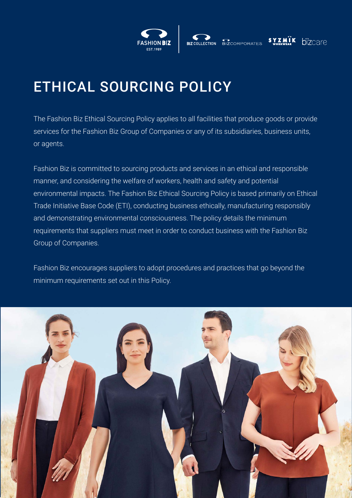

# ETHICAL SOURCING POLICY

The Fashion Biz Ethical Sourcing Policy applies to all facilities that produce goods or provide services for the Fashion Biz Group of Companies or any of its subsidiaries, business units, or agents.

Fashion Biz is committed to sourcing products and services in an ethical and responsible manner, and considering the welfare of workers, health and safety and potential environmental impacts. The Fashion Biz Ethical Sourcing Policy is based primarily on Ethical Trade Initiative Base Code (ETI), conducting business ethically, manufacturing responsibly and demonstrating environmental consciousness. The policy details the minimum requirements that suppliers must meet in order to conduct business with the Fashion Biz Group of Companies.

Fashion Biz encourages suppliers to adopt procedures and practices that go beyond the minimum requirements set out in this Policy.

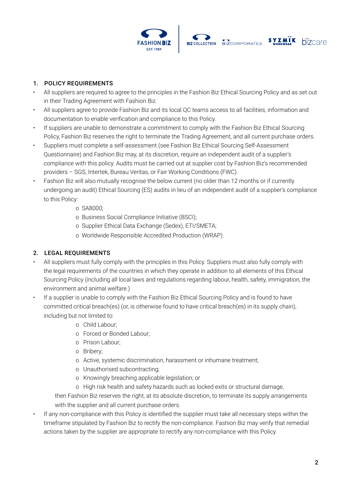





# 1. POLICY REQUIREMENTS

- All suppliers are required to agree to the principles in the Fashion Biz Ethical Sourcing Policy and as set out in their Trading Agreement with Fashion Biz.
- All suppliers agree to provide Fashion Biz and its local QC teams access to all facilities, information and documentation to enable verification and compliance to this Policy.
- If suppliers are unable to demonstrate a commitment to comply with the Fashion Biz Ethical Sourcing Policy, Fashion Biz reserves the right to terminate the Trading Agreement, and all current purchase orders.
- Suppliers must complete a self-assessment (see Fashion Biz Ethical Sourcing Self-Assessment Questionnaire) and Fashion Biz may, at its discretion, require an independent audit of a supplier's compliance with this policy. Audits must be carried out at supplier cost by Fashion Biz's recommended providers – SGS, Intertek, Bureau Veritas, or Fair Working Conditions (FWC).
- Fashion Biz will also mutually recognise the below current (no older than 12 months or if currently undergoing an audit) Ethical Sourcing (ES) audits in lieu of an independent audit of a supplier's compliance to this Policy:
	- o SA8000;
	- o Business Social Compliance Initiative (BSCI);
	- o Supplier Ethical Data Exchange (Sedex), ETI/SMETA;
	- o Worldwide Responsible Accredited Production (WRAP).

### 2. LEGAL REQUIREMENTS

- All suppliers must fully comply with the principles in this Policy. Suppliers must also fully comply with the legal requirements of the countries in which they operate in addition to all elements of this Ethical Sourcing Policy (including all local laws and regulations regarding labour, health, safety, immigration, the environment and animal welfare.)
- If a supplier is unable to comply with the Fashion Biz Ethical Sourcing Policy and is found to have committed critical breach(es) (or, is otherwise found to have critical breach(es) in its supply chain), including but not limited to:
	- o Child Labour;
	- o Forced or Bonded Labour;
	- o Prison Labour;
	- o Bribery;
	- o Active, systemic discrimination, harassment or inhumane treatment;
	- o Unauthorised subcontracting;
	- o Knowingly breaching applicable legislation; or
	- o High risk health and safety hazards such as locked exits or structural damage,

then Fashion Biz reserves the right, at its absolute discretion, to terminate its supply arrangements with the supplier and all current purchase orders.

• If any non-compliance with this Policy is identified the supplier must take all necessary steps within the timeframe stipulated by Fashion Biz to rectify the non-compliance. Fashion Biz may verify that remedial actions taken by the supplier are appropriate to rectify any non-compliance with this Policy.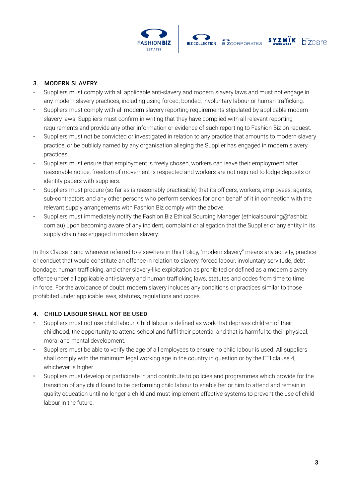



#### SYZMIK **bizcare**

# 3. MODERN SLAVERY

- Suppliers must comply with all applicable anti-slavery and modern slavery laws and must not engage in any modern slavery practices, including using forced, bonded, involuntary labour or human trafficking.
- Suppliers must comply with all modern slavery reporting requirements stipulated by applicable modern slavery laws. Suppliers must confirm in writing that they have complied with all relevant reporting requirements and provide any other information or evidence of such reporting to Fashion Biz on request.
- Suppliers must not be convicted or investigated in relation to any practice that amounts to modern slavery practice, or be publicly named by any organisation alleging the Supplier has engaged in modern slavery practices.
- Suppliers must ensure that employment is freely chosen, workers can leave their employment after reasonable notice, freedom of movement is respected and workers are not required to lodge deposits or identity papers with suppliers.
- Suppliers must procure (so far as is reasonably practicable) that its officers, workers, employees, agents, sub-contractors and any other persons who perform services for or on behalf of it in connection with the relevant supply arrangements with Fashion Biz comply with the above.
- Suppliers must immediately notify the Fashion Biz Ethical Sourcing Manager (ethicalsourcing@fashbiz. com.au) upon becoming aware of any incident, complaint or allegation that the Supplier or any entity in its supply chain has engaged in modern slavery.

In this Clause 3 and wherever referred to elsewhere in this Policy, "modern slavery" means any activity, practice or conduct that would constitute an offence in relation to slavery, forced labour, involuntary servitude, debt bondage, human trafficking, and other slavery-like exploitation as prohibited or defined as a modern slavery offence under all applicable anti-slavery and human trafficking laws, statutes and codes from time to time in force. For the avoidance of doubt, modern slavery includes any conditions or practices similar to those prohibited under applicable laws, statutes, regulations and codes.

### 4. CHILD LABOUR SHALL NOT BE USED

- Suppliers must not use child labour. Child labour is defined as work that deprives children of their childhood, the opportunity to attend school and fulfil their potential and that is harmful to their physical, moral and mental development.
- Suppliers must be able to verify the age of all employees to ensure no child labour is used. All suppliers shall comply with the minimum legal working age in the country in question or by the ETI clause 4, whichever is higher.
- Suppliers must develop or participate in and contribute to policies and programmes which provide for the transition of any child found to be performing child labour to enable her or him to attend and remain in quality education until no longer a child and must implement effective systems to prevent the use of child labour in the future.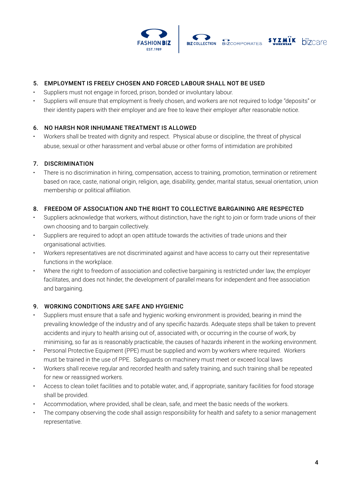



# 5. EMPLOYMENT IS FREELY CHOSEN AND FORCED LABOUR SHALL NOT BE USED

- Suppliers must not engage in forced, prison, bonded or involuntary labour.
- Suppliers will ensure that employment is freely chosen, and workers are not required to lodge "deposits" or their identity papers with their employer and are free to leave their employer after reasonable notice.

# 6. NO HARSH NOR INHUMANE TREATMENT IS ALLOWED

• Workers shall be treated with dignity and respect. Physical abuse or discipline, the threat of physical abuse, sexual or other harassment and verbal abuse or other forms of intimidation are prohibited

# 7. DISCRIMINATION

• There is no discrimination in hiring, compensation, access to training, promotion, termination or retirement based on race, caste, national origin, religion, age, disability, gender, marital status, sexual orientation, union membership or political affiliation.

### 8. FREEDOM OF ASSOCIATION AND THE RIGHT TO COLLECTIVE BARGAINING ARE RESPECTED

- Suppliers acknowledge that workers, without distinction, have the right to join or form trade unions of their own choosing and to bargain collectively.
- Suppliers are required to adopt an open attitude towards the activities of trade unions and their organisational activities.
- Workers representatives are not discriminated against and have access to carry out their representative functions in the workplace.
- Where the right to freedom of association and collective bargaining is restricted under law, the employer facilitates, and does not hinder, the development of parallel means for independent and free association and bargaining.

### 9. WORKING CONDITIONS ARE SAFE AND HYGIENIC

- Suppliers must ensure that a safe and hygienic working environment is provided, bearing in mind the prevailing knowledge of the industry and of any specific hazards. Adequate steps shall be taken to prevent accidents and injury to health arising out of, associated with, or occurring in the course of work, by minimising, so far as is reasonably practicable, the causes of hazards inherent in the working environment.
- Personal Protective Equipment (PPE) must be supplied and worn by workers where required. Workers must be trained in the use of PPE. Safeguards on machinery must meet or exceed local laws
- Workers shall receive regular and recorded health and safety training, and such training shall be repeated for new or reassigned workers.
- Access to clean toilet facilities and to potable water, and, if appropriate, sanitary facilities for food storage shall be provided.
- Accommodation, where provided, shall be clean, safe, and meet the basic needs of the workers.
- The company observing the code shall assign responsibility for health and safety to a senior management representative.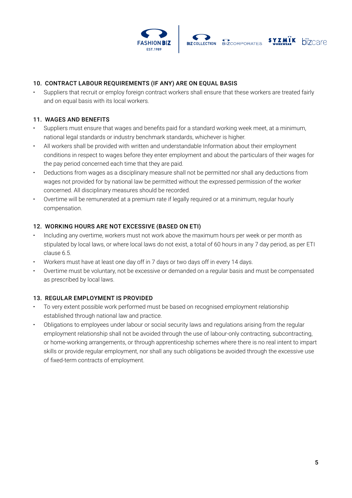





# 10. CONTRACT LABOUR REQUIREMENTS (IF ANY) ARE ON EQUAL BASIS

• Suppliers that recruit or employ foreign contract workers shall ensure that these workers are treated fairly and on equal basis with its local workers.

#### 11. WAGES AND BENEFITS

- Suppliers must ensure that wages and benefits paid for a standard working week meet, at a minimum, national legal standards or industry benchmark standards, whichever is higher.
- All workers shall be provided with written and understandable Information about their employment conditions in respect to wages before they enter employment and about the particulars of their wages for the pay period concerned each time that they are paid.
- Deductions from wages as a disciplinary measure shall not be permitted nor shall any deductions from wages not provided for by national law be permitted without the expressed permission of the worker concerned. All disciplinary measures should be recorded.
- Overtime will be remunerated at a premium rate if legally required or at a minimum, regular hourly compensation.

### 12. WORKING HOURS ARE NOT EXCESSIVE (BASED ON ETI)

- Including any overtime, workers must not work above the maximum hours per week or per month as stipulated by local laws, or where local laws do not exist, a total of 60 hours in any 7 day period, as per ETI clause 6.5.
- Workers must have at least one day off in 7 days or two days off in every 14 days.
- Overtime must be voluntary, not be excessive or demanded on a regular basis and must be compensated as prescribed by local laws.

### 13. REGULAR EMPLOYMENT IS PROVIDED

- To very extent possible work performed must be based on recognised employment relationship established through national law and practice.
- Obligations to employees under labour or social security laws and regulations arising from the regular employment relationship shall not be avoided through the use of labour-only contracting, subcontracting, or home-working arrangements, or through apprenticeship schemes where there is no real intent to impart skills or provide regular employment, nor shall any such obligations be avoided through the excessive use of fixed-term contracts of employment.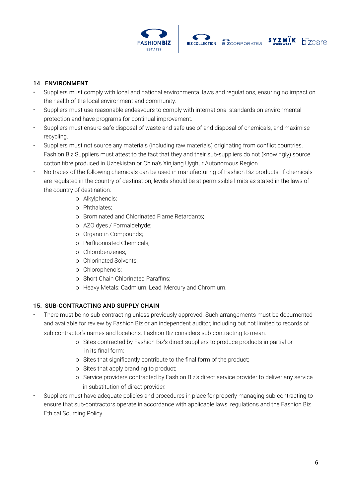





# 14. ENVIRONMENT

- Suppliers must comply with local and national environmental laws and regulations, ensuring no impact on the health of the local environment and community.
- Suppliers must use reasonable endeavours to comply with international standards on environmental protection and have programs for continual improvement.
- Suppliers must ensure safe disposal of waste and safe use of and disposal of chemicals, and maximise recycling.
- Suppliers must not source any materials (including raw materials) originating from conflict countries. Fashion Biz Suppliers must attest to the fact that they and their sub-suppliers do not (knowingly) source cotton fibre produced in Uzbekistan or China's Xinjiang Uyghur Autonomous Region.
- No traces of the following chemicals can be used in manufacturing of Fashion Biz products. If chemicals are regulated in the country of destination, levels should be at permissible limits as stated in the laws of the country of destination:
	- o Alkylphenols;
	- o Phthalates;
	- o Brominated and Chlorinated Flame Retardants;
	- o AZO dyes / Formaldehyde;
	- o Organotin Compounds;
	- o Perfluorinated Chemicals;
	- o Chlorobenzenes;
	- o Chlorinated Solvents;
	- o Chlorophenols;
	- o Short Chain Chlorinated Paraffins;
	- o Heavy Metals: Cadmium, Lead, Mercury and Chromium.

### 15. SUB-CONTRACTING AND SUPPLY CHAIN

- There must be no sub-contracting unless previously approved. Such arrangements must be documented and available for review by Fashion Biz or an independent auditor, including but not limited to records of sub-contractor's names and locations. Fashion Biz considers sub-contracting to mean:
	- o Sites contracted by Fashion Biz's direct suppliers to produce products in partial or in its final form;
	- o Sites that significantly contribute to the final form of the product;
	- o Sites that apply branding to product;
	- o Service providers contracted by Fashion Biz's direct service provider to deliver any service in substitution of direct provider.
- Suppliers must have adequate policies and procedures in place for properly managing sub-contracting to ensure that sub-contractors operate in accordance with applicable laws, regulations and the Fashion Biz Ethical Sourcing Policy.